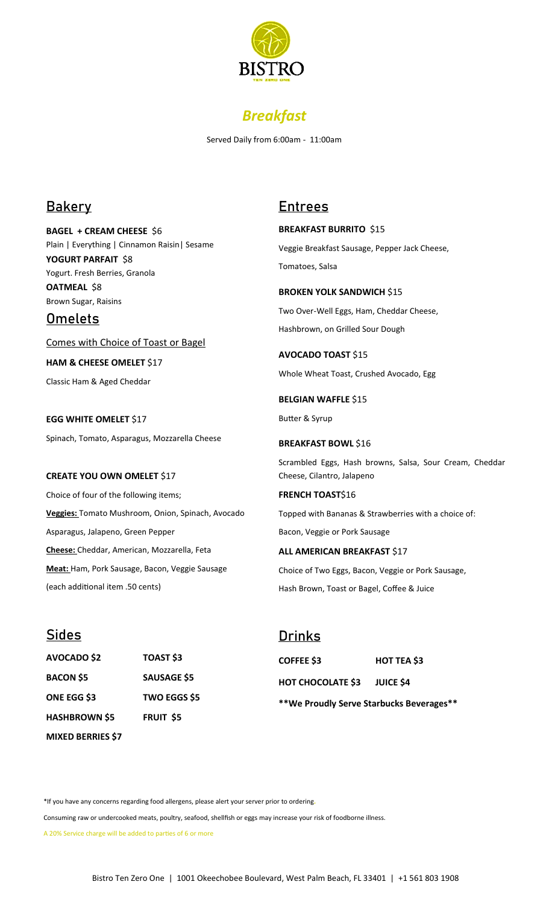



Served Daily from 6:00am - 11:00am

## **Bakery**

**BAGEL + CREAM CHEESE** \$6 Plain | Everything | Cinnamon Raisin| Sesame **YOGURT PARFAIT** \$8 Yogurt. Fresh Berries, Granola **OATMEAL** \$8 Brown Sugar, Raisins

## **Omelets**

Comes with Choice of Toast or Bagel

**HAM & CHEESE OMELET** \$17

Classic Ham & Aged Cheddar

**EGG WHITE OMELET** \$17 Spinach, Tomato, Asparagus, Mozzarella Cheese

### **CREATE YOU OWN OMELET** \$17

Choice of four of the following items; **Veggies:** Tomato Mushroom, Onion, Spinach, Avocado Asparagus, Jalapeno, Green Pepper **Cheese:** Cheddar, American, Mozzarella, Feta **Meat:** Ham, Pork Sausage, Bacon, Veggie Sausage (each additional item .50 cents)

## **Entrees**

**BREAKFAST BURRITO** \$15 Veggie Breakfast Sausage, Pepper Jack Cheese, Tomatoes, Salsa

**BROKEN YOLK SANDWICH \$15** Two Over-Well Eggs, Ham, Cheddar Cheese, Hashbrown, on Grilled Sour Dough

**AVOCADO TOAST** \$15 Whole Wheat Toast, Crushed Avocado, Egg

**BELGIAN WAFFLE \$15** Butter & Syrup

### **BREAKFAST BOWL \$16**

Scrambled Eggs, Hash browns, Salsa, Sour Cream, Cheddar Cheese, Cilantro, Jalapeno

**FRENCH TOAST\$16** 

Topped with Bananas & Strawberries with a choice of:

Bacon, Veggie or Pork Sausage

**ALL AMERICAN BREAKFAST \$17** 

Choice of Two Eggs, Bacon, Veggie or Pork Sausage, Hash Brown, Toast or Bagel, Coffee & Juice

# **Sides AVOCADO \$2 TOAST \$3 BACON \$5 SAUSAGE \$5 ONE EGG \$3 TWO EGGS \$5 HASHBROWN \$5 FRUIT \$5 MIXED BERRIES \$7**

### **Drinks**

**COFFEE \$3 HOT TEA \$3 HOT CHOCOLATE \$3 JUICE \$4**

**\*\*We Proudly Serve Starbucks Beverages\*\***

\*If you have any concerns regarding food allergens, please alert your server prior to ordering*.*

Consuming raw or undercooked meats, poultry, seafood, shellfish or eggs may increase your risk of foodborne illness.

A 20% Service charge will be added to parties of 6 or more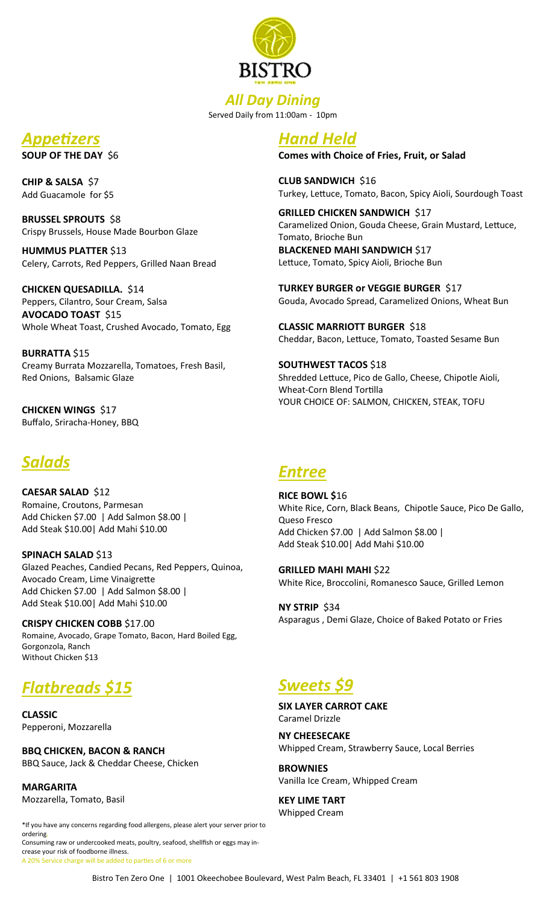

*All Day Dining* Served Daily from 11:00am - 10pm

# *Appetizers*

**SOUP OF THE DAY** \$6

**CHIP & SALSA** \$7 Add Guacamole for \$5

**BRUSSEL SPROUTS** \$8 Crispy Brussels, House Made Bourbon Glaze

**HUMMUS PLATTER** \$13 Celery, Carrots, Red Peppers, Grilled Naan Bread

**CHICKEN QUESADILLA.** \$14 Peppers, Cilantro, Sour Cream, Salsa **AVOCADO TOAST** \$15 Whole Wheat Toast, Crushed Avocado, Tomato, Egg

**BURRATTA** \$15 Creamy Burrata Mozzarella, Tomatoes, Fresh Basil, Red Onions, Balsamic Glaze

**CHICKEN WINGS** \$17 Buffalo, Sriracha-Honey, BBQ

# *Salads*

**CAESAR SALAD** \$12 Romaine, Croutons, Parmesan Add Chicken \$7.00 | Add Salmon \$8.00 | Add Steak \$10.00| Add Mahi \$10.00

**SPINACH SALAD \$13** Glazed Peaches, Candied Pecans, Red Peppers, Quinoa, Avocado Cream, Lime Vinaigrette Add Chicken \$7.00 | Add Salmon \$8.00 | Add Steak \$10.00| Add Mahi \$10.00

**CRISPY CHICKEN COBB** \$17.00 Romaine, Avocado, Grape Tomato, Bacon, Hard Boiled Egg, Gorgonzola, Ranch Without Chicken \$13

# *Flatbreads \$15*

**CLASSIC** Pepperoni, Mozzarella

**BBQ CHICKEN, BACON & RANCH** BBQ Sauce, Jack & Cheddar Cheese, Chicken

**MARGARITA** Mozzarella, Tomato, Basil

\*If you have any concerns regarding food allergens, please alert your server prior to ordering*.* Consuming raw or undercooked meats, poultry, seafood, shellfish or eggs may increase your risk of foodborne illness.

A 20% Service charge will be added to parties of 6 or more

# *Hand Held*

**Comes with Choice of Fries, Fruit, or Salad**

**CLUB SANDWICH** \$16 Turkey, Lettuce, Tomato, Bacon, Spicy Aioli, Sourdough Toast

**GRILLED CHICKEN SANDWICH \$17** Caramelized Onion, Gouda Cheese, Grain Mustard, Lettuce, Tomato, Brioche Bun **BLACKENED MAHI SANDWICH** \$17

Lettuce, Tomato, Spicy Aioli, Brioche Bun

**TURKEY BURGER or VEGGIE BURGER** \$17 Gouda, Avocado Spread, Caramelized Onions, Wheat Bun

**CLASSIC MARRIOTT BURGER** \$18 Cheddar, Bacon, Lettuce, Tomato, Toasted Sesame Bun

**SOUTHWEST TACOS** \$18 Shredded Lettuce, Pico de Gallo, Cheese, Chipotle Aioli, Wheat-Corn Blend Tortilla YOUR CHOICE OF: SALMON, CHICKEN, STEAK, TOFU

## *Entree*

**RICE BOWL \$**16 White Rice, Corn, Black Beans, Chipotle Sauce, Pico De Gallo, Queso Fresco Add Chicken \$7.00 | Add Salmon \$8.00 | Add Steak \$10.00| Add Mahi \$10.00

**GRILLED MAHI MAHI** \$22 White Rice, Broccolini, Romanesco Sauce, Grilled Lemon

**NY STRIP** \$34 Asparagus , Demi Glaze, Choice of Baked Potato or Fries

# *Sweets \$9*

**SIX LAYER CARROT CAKE** Caramel Drizzle

**NY CHEESECAKE** Whipped Cream, Strawberry Sauce, Local Berries

**BROWNIES** Vanilla Ice Cream, Whipped Cream

**KEY LIME TART** Whipped Cream